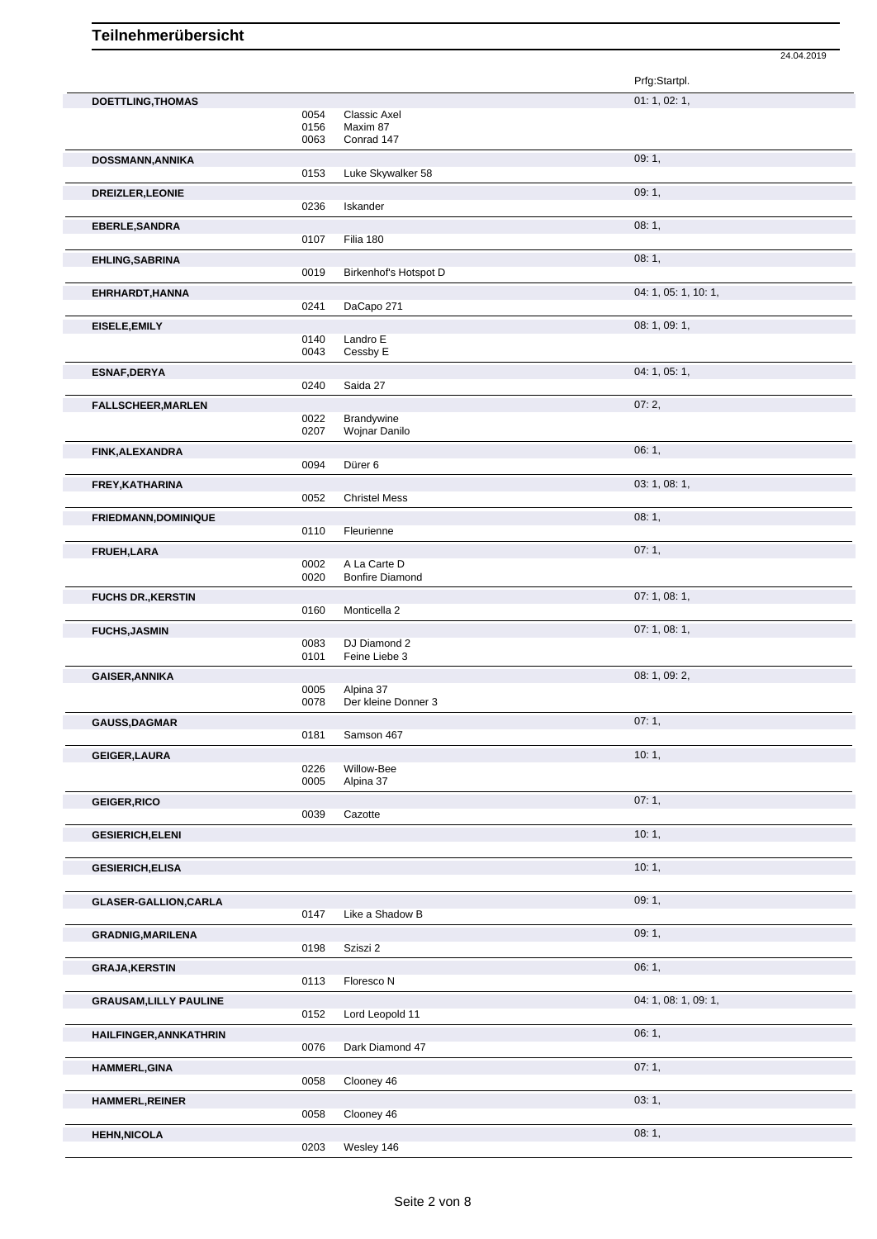|                               |              |                                        | Prfg:Startpl.        |
|-------------------------------|--------------|----------------------------------------|----------------------|
| <b>DOETTLING, THOMAS</b>      |              |                                        | 01: 1, 02: 1,        |
|                               | 0054<br>0156 | Classic Axel<br>Maxim 87               |                      |
|                               | 0063         | Conrad 147                             |                      |
| DOSSMANN, ANNIKA              |              |                                        | 09:1,                |
|                               | 0153         | Luke Skywalker 58                      |                      |
| DREIZLER, LEONIE              |              |                                        | 09:1,                |
|                               | 0236         | Iskander                               |                      |
| EBERLE, SANDRA                | 0107         | Filia 180                              | 08:1,                |
| EHLING, SABRINA               |              |                                        | 08:1,                |
|                               | 0019         | Birkenhof's Hotspot D                  |                      |
| EHRHARDT, HANNA               |              |                                        | 04: 1, 05: 1, 10: 1, |
|                               | 0241         | DaCapo 271                             |                      |
| EISELE, EMILY                 |              |                                        | 08: 1, 09: 1,        |
|                               | 0140<br>0043 | Landro E<br>Cessby E                   |                      |
| ESNAF, DERYA                  |              |                                        | 04: 1, 05: 1,        |
|                               | 0240         | Saida 27                               |                      |
| <b>FALLSCHEER, MARLEN</b>     |              |                                        | 07:2,                |
|                               | 0022         | Brandywine                             |                      |
|                               | 0207         | Wojnar Danilo                          |                      |
| FINK, ALEXANDRA               | 0094         | Dürer 6                                | 06:1,                |
| FREY, KATHARINA               |              |                                        | 03: 1, 08: 1,        |
|                               | 0052         | <b>Christel Mess</b>                   |                      |
| <b>FRIEDMANN, DOMINIQUE</b>   |              |                                        | 08:1,                |
|                               | 0110         | Fleurienne                             |                      |
| FRUEH, LARA                   |              |                                        | 07:1,                |
|                               | 0002<br>0020 | A La Carte D<br><b>Bonfire Diamond</b> |                      |
| <b>FUCHS DR., KERSTIN</b>     |              |                                        | 07: 1, 08: 1,        |
|                               | 0160         | Monticella 2                           |                      |
| <b>FUCHS, JASMIN</b>          |              |                                        | 07: 1, 08: 1,        |
|                               | 0083<br>0101 | DJ Diamond 2<br>Feine Liebe 3          |                      |
|                               |              |                                        | 08: 1, 09: 2,        |
| <b>GAISER, ANNIKA</b>         | 0005         | Alpina 37                              |                      |
|                               | 0078         | Der kleine Donner 3                    |                      |
| <b>GAUSS, DAGMAR</b>          |              |                                        | 07:1,                |
|                               | 0181         | Samson 467                             |                      |
| <b>GEIGER, LAURA</b>          | 0226         | Willow-Bee                             | 10:1,                |
|                               | 0005         | Alpina 37                              |                      |
| <b>GEIGER, RICO</b>           |              |                                        | 07:1,                |
|                               | 0039         | Cazotte                                |                      |
| <b>GESIERICH, ELENI</b>       |              |                                        | 10:1,                |
|                               |              |                                        | 10:1,                |
| <b>GESIERICH, ELISA</b>       |              |                                        |                      |
| <b>GLASER-GALLION, CARLA</b>  |              |                                        | 09:1,                |
|                               | 0147         | Like a Shadow B                        |                      |
| <b>GRADNIG, MARILENA</b>      |              |                                        | 09:1,                |
|                               | 0198         | Sziszi 2                               |                      |
| <b>GRAJA, KERSTIN</b>         | 0113         | Floresco N                             | 06:1,                |
|                               |              |                                        |                      |
| <b>GRAUSAM, LILLY PAULINE</b> | 0152         | Lord Leopold 11                        | 04: 1, 08: 1, 09: 1, |
| HAILFINGER, ANNKATHRIN        |              |                                        | 06:1,                |
|                               | 0076         | Dark Diamond 47                        |                      |
| <b>HAMMERL, GINA</b>          |              |                                        | 07:1,                |
|                               | 0058         | Clooney 46                             |                      |
| <b>HAMMERL, REINER</b>        | 0058         |                                        | 03:1,                |
|                               |              | Clooney 46                             |                      |
| <b>HEHN, NICOLA</b>           | 0203         | Wesley 146                             | 08:1,                |
|                               |              |                                        |                      |

24.04.2019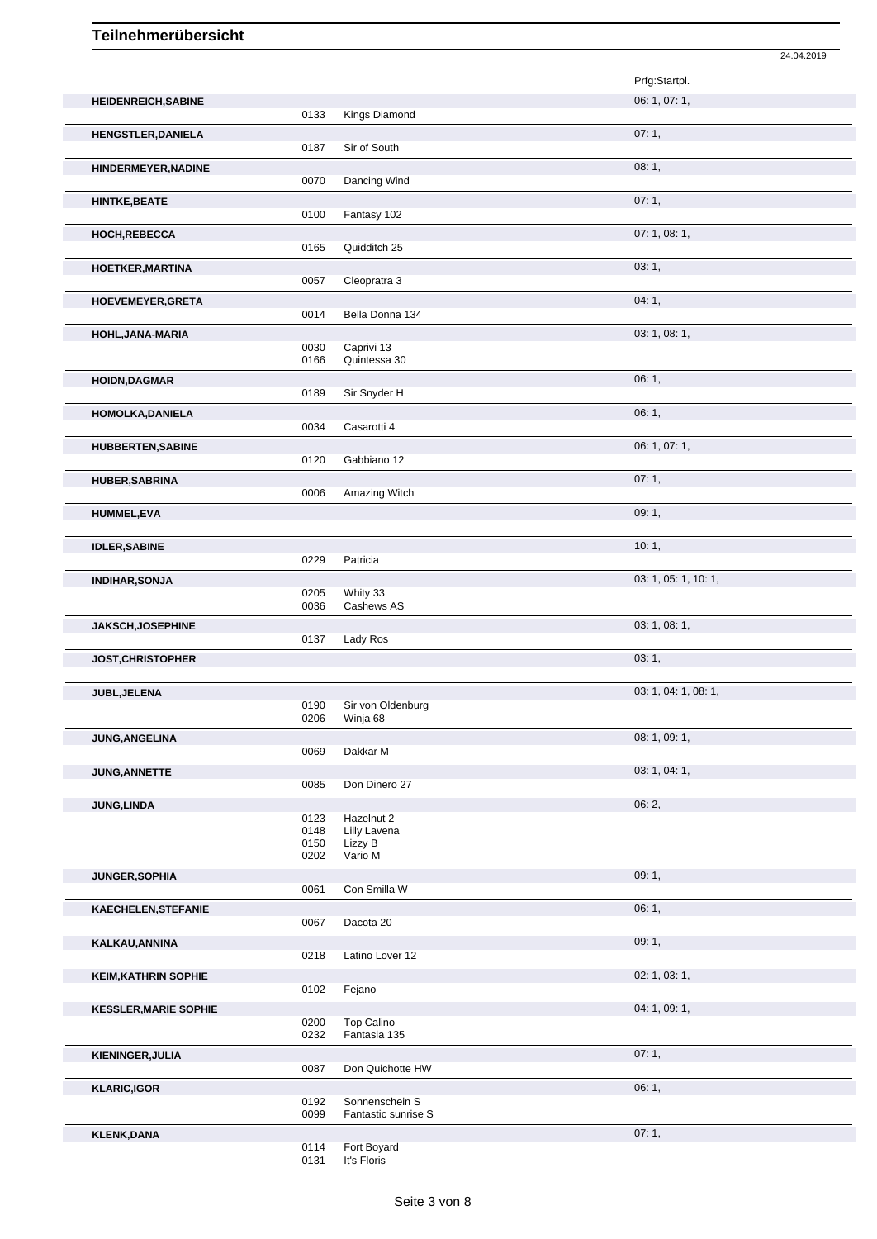|                              |              |                                       | 24.04.2019           |
|------------------------------|--------------|---------------------------------------|----------------------|
|                              |              |                                       | Prfg:Startpl.        |
| <b>HEIDENREICH, SABINE</b>   |              |                                       | 06: 1, 07: 1,        |
|                              | 0133         | Kings Diamond                         |                      |
| <b>HENGSTLER, DANIELA</b>    | 0187         | Sir of South                          | 07:1,                |
| HINDERMEYER, NADINE          | 0070         | Dancing Wind                          | 08:1,                |
| <b>HINTKE, BEATE</b>         | 0100         | Fantasy 102                           | 07:1,                |
| HOCH, REBECCA                |              |                                       | 07: 1, 08: 1,        |
|                              | 0165         | Quidditch 25                          |                      |
| <b>HOETKER, MARTINA</b>      | 0057         | Cleopratra 3                          | 03:1,                |
| HOEVEMEYER, GRETA            | 0014         | Bella Donna 134                       | 04:1,                |
| HOHL, JANA-MARIA             |              |                                       | 03: 1, 08: 1,        |
|                              | 0030<br>0166 | Caprivi 13<br>Quintessa 30            |                      |
| <b>HOIDN,DAGMAR</b>          |              |                                       | 06:1,                |
|                              | 0189         | Sir Snyder H                          | 06:1,                |
| HOMOLKA, DANIELA             | 0034         | Casarotti 4                           |                      |
| <b>HUBBERTEN, SABINE</b>     | 0120         | Gabbiano 12                           | 06: 1, 07: 1,        |
| <b>HUBER, SABRINA</b>        | 0006         | Amazing Witch                         | 07:1,                |
| <b>HUMMEL,EVA</b>            |              |                                       | 09:1,                |
| <b>IDLER, SABINE</b>         |              |                                       | 10:1,                |
|                              | 0229         | Patricia                              |                      |
| <b>INDIHAR, SONJA</b>        | 0205         | Whity 33                              | 03: 1, 05: 1, 10: 1, |
| JAKSCH, JOSEPHINE            | 0036         | Cashews AS                            | 03: 1, 08: 1,        |
|                              | 0137         | Lady Ros                              |                      |
| JOST, CHRISTOPHER            |              |                                       | 03:1,                |
| JUBL, JELENA                 |              |                                       | 03: 1, 04: 1, 08: 1, |
|                              | 0190<br>0206 | Sir von Oldenburg<br>Winja 68         |                      |
| JUNG, ANGELINA               |              |                                       | 08: 1, 09: 1,        |
|                              | 0069         | Dakkar M                              | 03: 1, 04: 1,        |
| JUNG, ANNETTE                | 0085         | Don Dinero 27                         |                      |
| <b>JUNG, LINDA</b>           |              |                                       | 06: 2,               |
|                              | 0123<br>0148 | Hazelnut 2<br>Lilly Lavena            |                      |
|                              | 0150<br>0202 | Lizzy B<br>Vario M                    |                      |
| JUNGER, SOPHIA               |              |                                       | 09:1,                |
|                              | 0061         | Con Smilla W                          |                      |
| KAECHELEN, STEFANIE          | 0067         | Dacota 20                             | 06: 1,               |
| KALKAU, ANNINA               |              |                                       | 09:1,                |
|                              | 0218         | Latino Lover 12                       |                      |
| <b>KEIM, KATHRIN SOPHIE</b>  | 0102         | Fejano                                | 02: 1, 03: 1,        |
| <b>KESSLER, MARIE SOPHIE</b> |              | Top Calino                            | 04: 1, 09: 1,        |
|                              | 0200<br>0232 | Fantasia 135                          |                      |
| KIENINGER, JULIA             | 0087         | Don Quichotte HW                      | 07:1,                |
| <b>KLARIC,IGOR</b>           |              |                                       | 06:1,                |
|                              | 0192<br>0099 | Sonnenschein S<br>Fantastic sunrise S |                      |
| <b>KLENK,DANA</b>            |              |                                       | 07:1,                |
|                              | 0114         | Fort Boyard                           |                      |
|                              | 0131         | It's Floris                           |                      |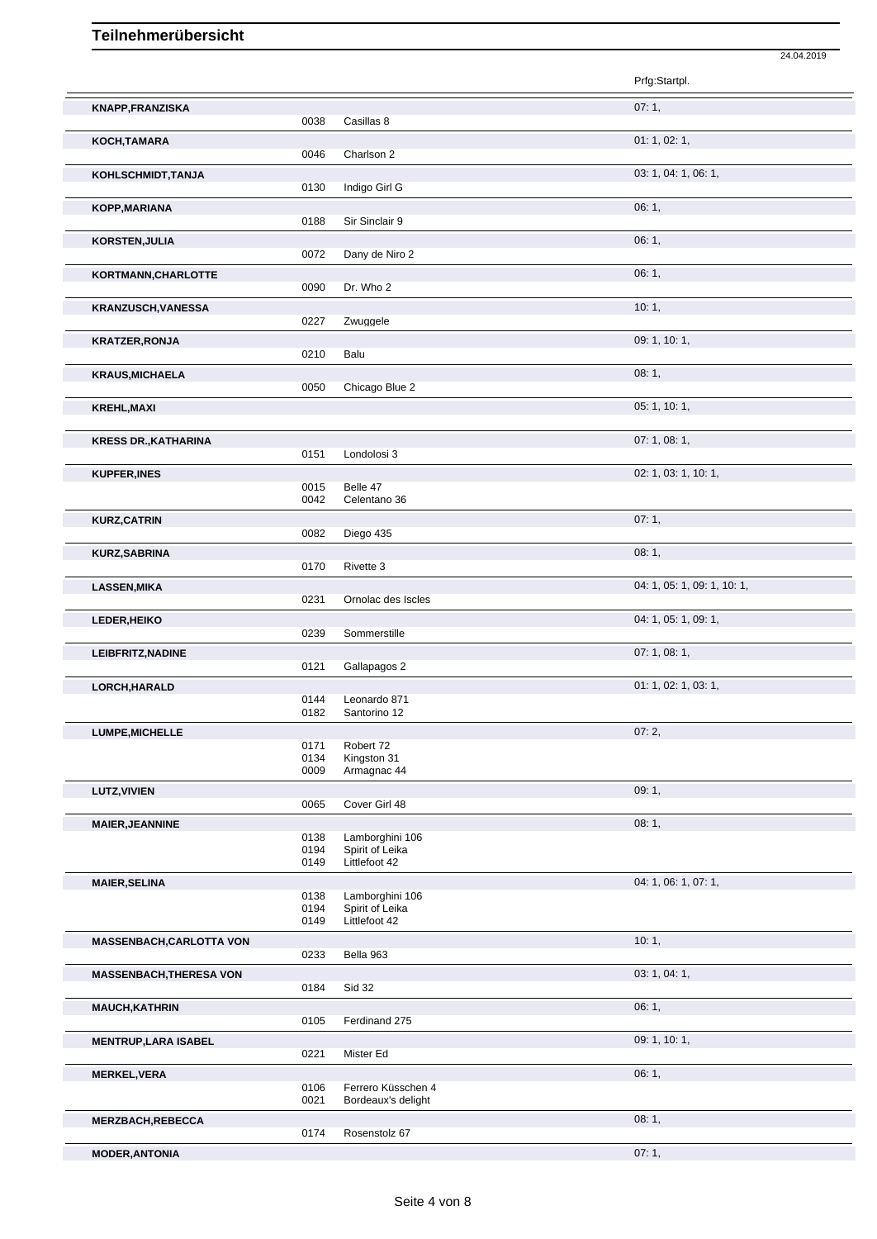|                                 |              |                                  | 24.04.2019                  |
|---------------------------------|--------------|----------------------------------|-----------------------------|
|                                 |              |                                  | Prfg:Startpl.               |
| <b>KNAPP,FRANZISKA</b>          |              |                                  | 07:1,                       |
|                                 | 0038         | Casillas 8                       |                             |
| KOCH, TAMARA                    | 0046         | Charlson 2                       | 01: 1, 02: 1,               |
| KOHLSCHMIDT, TANJA              |              |                                  | 03: 1, 04: 1, 06: 1,        |
|                                 | 0130         | Indigo Girl G                    |                             |
| KOPP, MARIANA                   | 0188         | Sir Sinclair 9                   | 06:1,                       |
| KORSTEN, JULIA                  |              |                                  | 06:1,                       |
|                                 | 0072         | Dany de Niro 2                   |                             |
| KORTMANN, CHARLOTTE             |              |                                  | 06:1,                       |
|                                 | 0090         | Dr. Who 2                        |                             |
| <b>KRANZUSCH, VANESSA</b>       | 0227         | Zwuggele                         | 10:1,                       |
| <b>KRATZER, RONJA</b>           |              |                                  | 09: 1, 10: 1,               |
|                                 | 0210         | Balu                             |                             |
| <b>KRAUS, MICHAELA</b>          |              |                                  | 08:1,                       |
|                                 | 0050         | Chicago Blue 2                   |                             |
| <b>KREHL, MAXI</b>              |              |                                  | 05: 1, 10: 1,               |
| <b>KRESS DR., KATHARINA</b>     |              |                                  | 07: 1, 08: 1,               |
|                                 | 0151         | Londolosi 3                      |                             |
| <b>KUPFER, INES</b>             |              |                                  | 02: 1, 03: 1, 10: 1,        |
|                                 | 0015<br>0042 | Belle 47<br>Celentano 36         |                             |
| <b>KURZ, CATRIN</b>             |              |                                  | 07:1,                       |
|                                 | 0082         | Diego 435                        |                             |
| <b>KURZ, SABRINA</b>            |              |                                  | 08:1,                       |
|                                 | 0170         | Rivette 3                        |                             |
| <b>LASSEN, MIKA</b>             | 0231         | Ornolac des Iscles               | 04: 1, 05: 1, 09: 1, 10: 1, |
| LEDER, HEIKO                    |              |                                  | 04: 1, 05: 1, 09: 1,        |
|                                 | 0239         | Sommerstille                     |                             |
| LEIBFRITZ, NADINE               |              |                                  | 07:1,08:1,                  |
|                                 | 0121         | Gallapagos 2                     |                             |
| LORCH, HARALD                   | 0144         | Leonardo 871                     | 01: 1, 02: 1, 03: 1,        |
|                                 | 0182         | Santorino 12                     |                             |
| LUMPE, MICHELLE                 |              |                                  | 07:2,                       |
|                                 | 0171<br>0134 | Robert 72<br>Kingston 31         |                             |
|                                 | 0009         | Armagnac 44                      |                             |
| <b>LUTZ, VIVIEN</b>             | 0065         | Cover Girl 48                    | 09:1,                       |
|                                 |              |                                  | 08:1,                       |
| <b>MAIER, JEANNINE</b>          | 0138         | Lamborghini 106                  |                             |
|                                 | 0194<br>0149 | Spirit of Leika<br>Littlefoot 42 |                             |
| <b>MAIER, SELINA</b>            |              |                                  | 04: 1, 06: 1, 07: 1,        |
|                                 | 0138         | Lamborghini 106                  |                             |
|                                 | 0194<br>0149 | Spirit of Leika<br>Littlefoot 42 |                             |
| <b>MASSENBACH, CARLOTTA VON</b> |              |                                  | 10:1,                       |
|                                 | 0233         | Bella 963                        |                             |
| <b>MASSENBACH, THERESA VON</b>  |              |                                  | 03: 1, 04: 1,               |
|                                 | 0184         | <b>Sid 32</b>                    |                             |
| <b>MAUCH, KATHRIN</b>           | 0105         | Ferdinand 275                    | 06:1,                       |
|                                 |              |                                  | 09: 1, 10: 1,               |
| <b>MENTRUP, LARA ISABEL</b>     | 0221         | Mister Ed                        |                             |
| <b>MERKEL, VERA</b>             |              |                                  | 06:1,                       |
|                                 | 0106         | Ferrero Küsschen 4               |                             |
|                                 | 0021         | Bordeaux's delight               | 08:1,                       |
| <b>MERZBACH,REBECCA</b>         | 0174         | Rosenstolz 67                    |                             |
| <b>MODER, ANTONIA</b>           |              |                                  | 07:1,                       |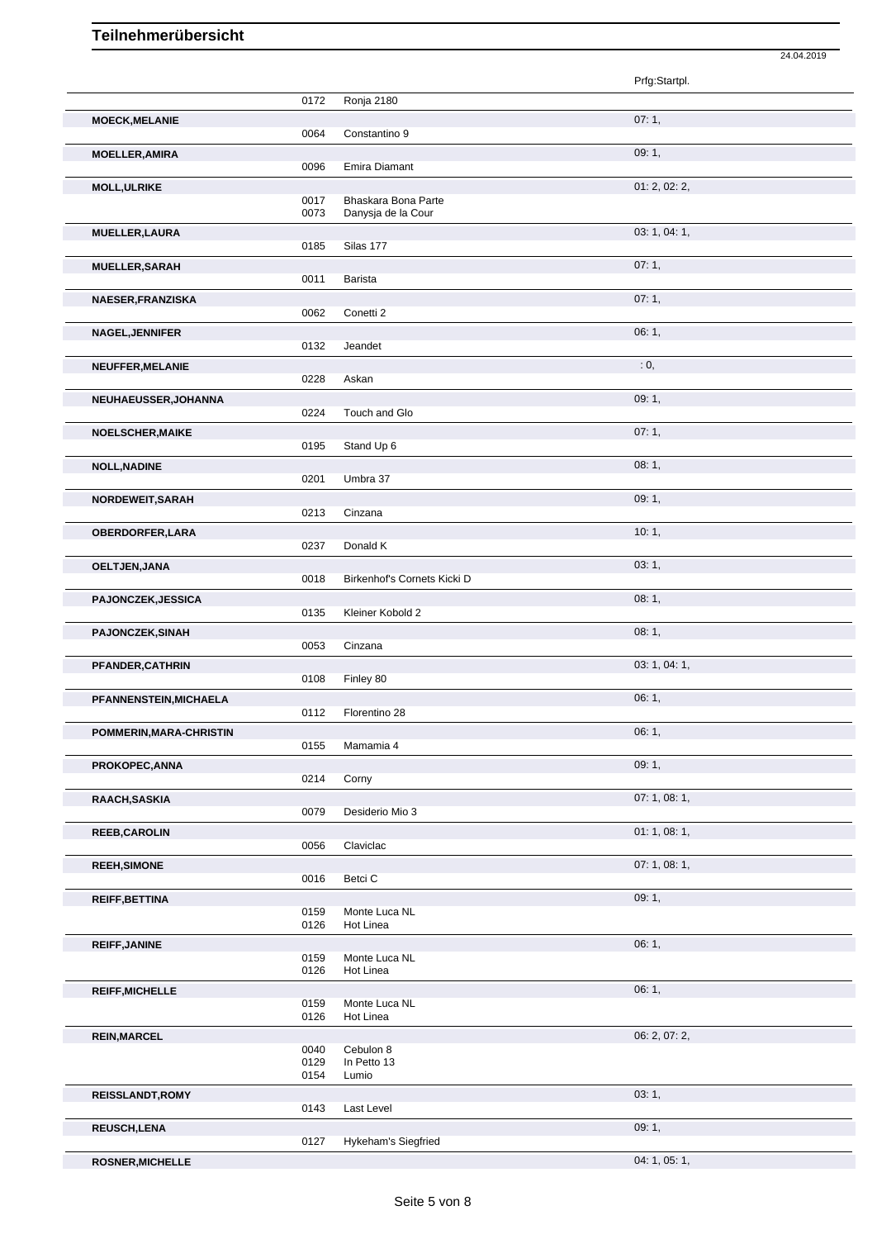|                           |              |                                           | 24.04.2019    |  |
|---------------------------|--------------|-------------------------------------------|---------------|--|
|                           |              |                                           | Prfg:Startpl. |  |
|                           | 0172         | Ronja 2180                                |               |  |
| <b>MOECK, MELANIE</b>     | 0064         | Constantino 9                             | 07:1,         |  |
| <b>MOELLER, AMIRA</b>     | 0096         | Emira Diamant                             | 09:1,         |  |
| <b>MOLL, ULRIKE</b>       |              |                                           | 01: 2, 02: 2, |  |
|                           | 0017<br>0073 | Bhaskara Bona Parte<br>Danysja de la Cour |               |  |
| <b>MUELLER, LAURA</b>     | 0185         | Silas 177                                 | 03: 1, 04: 1, |  |
| <b>MUELLER, SARAH</b>     |              |                                           | 07:1,         |  |
| NAESER, FRANZISKA         | 0011         | Barista                                   | 07:1,         |  |
|                           | 0062         | Conetti <sub>2</sub>                      |               |  |
| <b>NAGEL, JENNIFER</b>    | 0132         | Jeandet                                   | 06:1,         |  |
| NEUFFER, MELANIE          | 0228         | Askan                                     | : 0,          |  |
| NEUHAEUSSER, JOHANNA      |              |                                           | 09:1,         |  |
|                           | 0224         | Touch and Glo                             |               |  |
| NOELSCHER, MAIKE          | 0195         | Stand Up 6                                | 07:1,         |  |
| <b>NOLL, NADINE</b>       | 0201         | Umbra 37                                  | 08:1,         |  |
| NORDEWEIT, SARAH          |              |                                           | 09:1,         |  |
|                           | 0213         | Cinzana                                   |               |  |
| <b>OBERDORFER, LARA</b>   | 0237         | Donald K                                  | 10:1,         |  |
| OELTJEN, JANA             | 0018         | Birkenhof's Cornets Kicki D               | 03:1,         |  |
| <b>PAJONCZEK, JESSICA</b> |              |                                           | 08:1,         |  |
| PAJONCZEK, SINAH          | 0135         | Kleiner Kobold 2                          | 08:1,         |  |
|                           | 0053         | Cinzana                                   |               |  |
| PFANDER, CATHRIN          | 0108         | Finley 80                                 | 03: 1, 04: 1, |  |
| PFANNENSTEIN, MICHAELA    |              |                                           | 06:1,         |  |
| POMMERIN, MARA-CHRISTIN   | 0112         | Florentino 28                             | 06:1,         |  |
|                           | 0155         | Mamamia 4                                 |               |  |
| PROKOPEC, ANNA            | 0214         | Corny                                     | 09:1,         |  |
| RAACH, SASKIA             | 0079         | Desiderio Mio 3                           | 07:1,08:1,    |  |
| <b>REEB,CAROLIN</b>       |              |                                           | 01: 1, 08: 1, |  |
|                           | 0056         | Claviclac                                 |               |  |
| <b>REEH, SIMONE</b>       | 0016         | Betci C                                   | 07:1,08:1,    |  |
| REIFF, BETTINA            | 0159         | Monte Luca NL                             | 09:1,         |  |
|                           | 0126         | Hot Linea                                 |               |  |
| <b>REIFF, JANINE</b>      | 0159         | Monte Luca NL                             | 06:1,         |  |
|                           | 0126         | Hot Linea                                 |               |  |
| <b>REIFF, MICHELLE</b>    | 0159         | Monte Luca NL                             | 06:1,         |  |
|                           | 0126         | Hot Linea                                 |               |  |
| <b>REIN, MARCEL</b>       | 0040         | Cebulon 8                                 | 06: 2, 07: 2, |  |
|                           | 0129<br>0154 | In Petto 13<br>Lumio                      |               |  |
| <b>REISSLANDT, ROMY</b>   | 0143         | Last Level                                | 03:1,         |  |
| <b>REUSCH,LENA</b>        |              |                                           | 09:1,         |  |
|                           | 0127         | Hykeham's Siegfried                       |               |  |
| <b>ROSNER, MICHELLE</b>   |              |                                           | 04: 1, 05: 1, |  |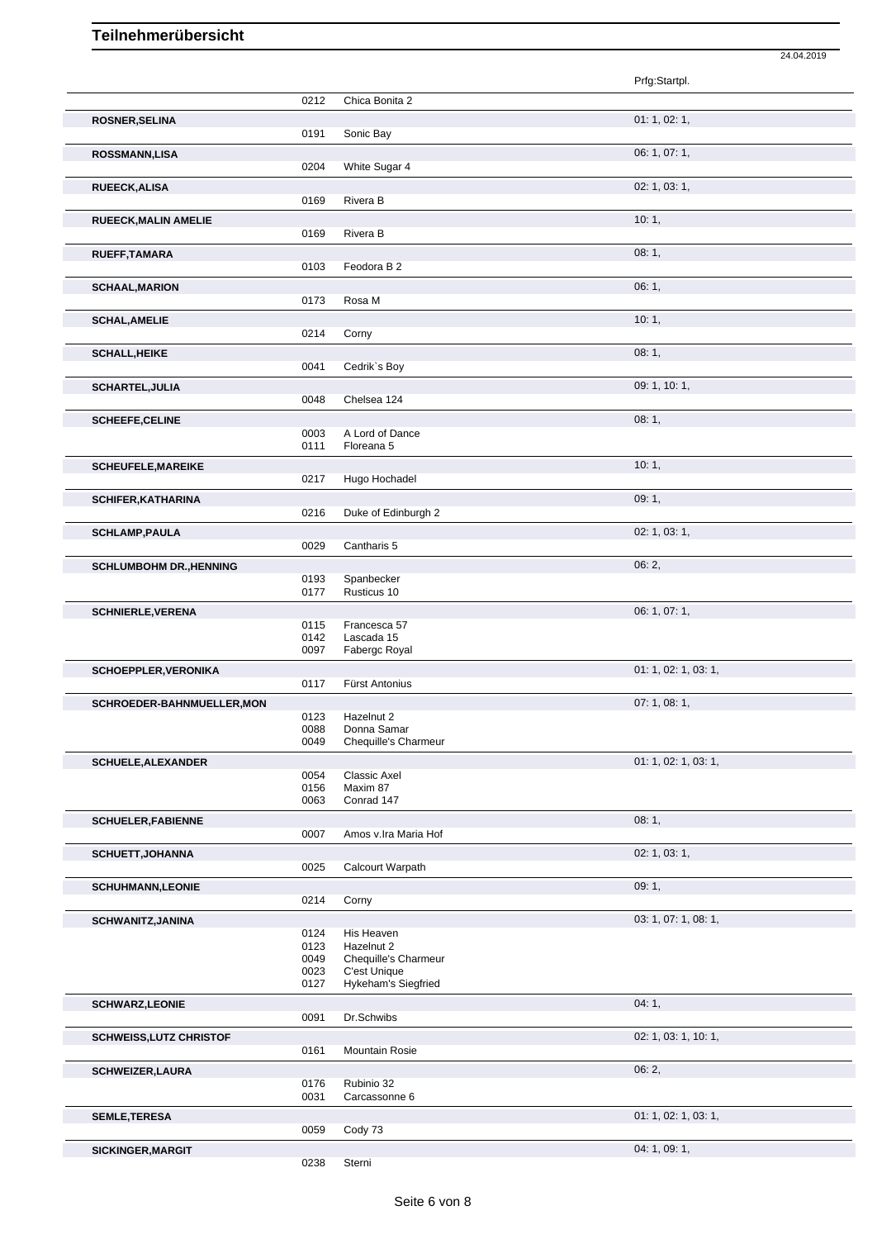|                                |              |                                      | 24.04.2019           |
|--------------------------------|--------------|--------------------------------------|----------------------|
|                                |              |                                      | Prfg:Startpl.        |
|                                |              |                                      |                      |
|                                | 0212         | Chica Bonita 2                       |                      |
| ROSNER, SELINA                 |              |                                      | 01: 1, 02: 1,        |
|                                | 0191         | Sonic Bay                            |                      |
| <b>ROSSMANN,LISA</b>           |              |                                      | 06: 1, 07: 1,        |
|                                | 0204         | White Sugar 4                        |                      |
| RUEECK, ALISA                  |              |                                      | 02: 1, 03: 1,        |
|                                | 0169         | Rivera B                             |                      |
| RUEECK, MALIN AMELIE           |              |                                      | 10:1,                |
|                                | 0169         | Rivera B                             |                      |
| RUEFF, TAMARA                  |              |                                      | 08:1,                |
|                                | 0103         | Feodora B 2                          |                      |
| <b>SCHAAL, MARION</b>          |              |                                      | 06:1,                |
|                                | 0173         | Rosa M                               |                      |
| <b>SCHAL, AMELIE</b>           |              |                                      | 10:1,                |
|                                | 0214         | Corny                                |                      |
| <b>SCHALL, HEIKE</b>           |              |                                      | 08:1,                |
|                                | 0041         | Cedrik's Boy                         |                      |
| <b>SCHARTEL, JULIA</b>         |              |                                      | 09: 1, 10: 1,        |
|                                | 0048         | Chelsea 124                          |                      |
| <b>SCHEEFE, CELINE</b>         |              |                                      | 08:1,                |
|                                | 0003         | A Lord of Dance                      |                      |
|                                | 0111         | Floreana 5                           |                      |
| <b>SCHEUFELE, MAREIKE</b>      |              |                                      | 10:1,                |
|                                | 0217         | Hugo Hochadel                        |                      |
| <b>SCHIFER, KATHARINA</b>      |              |                                      | 09:1,                |
|                                | 0216         | Duke of Edinburgh 2                  |                      |
| <b>SCHLAMP, PAULA</b>          |              |                                      | 02: 1, 03: 1,        |
|                                | 0029         | Cantharis 5                          |                      |
| <b>SCHLUMBOHM DR., HENNING</b> |              |                                      | 06:2,                |
|                                | 0193         | Spanbecker                           |                      |
|                                | 0177         | Rusticus 10                          |                      |
| <b>SCHNIERLE, VERENA</b>       | 0115         | Francesca 57                         | 06: 1, 07: 1,        |
|                                | 0142         | Lascada 15                           |                      |
|                                | 0097         | Fabergc Royal                        |                      |
| SCHOEPPLER, VERONIKA           |              |                                      | 01: 1, 02: 1, 03: 1, |
|                                | 0117         | Fürst Antonius                       |                      |
| SCHROEDER-BAHNMUELLER, MON     |              |                                      | 07:1,08:1,           |
|                                | 0123         | Hazelnut 2                           |                      |
|                                | 0088<br>0049 | Donna Samar<br>Chequille's Charmeur  |                      |
|                                |              |                                      |                      |
| <b>SCHUELE, ALEXANDER</b>      | 0054         | Classic Axel                         | 01: 1, 02: 1, 03: 1, |
|                                | 0156         | Maxim 87                             |                      |
|                                | 0063         | Conrad 147                           |                      |
| <b>SCHUELER, FABIENNE</b>      |              |                                      | 08:1,                |
|                                | 0007         | Amos v.lra Maria Hof                 |                      |
| <b>SCHUETT, JOHANNA</b>        |              |                                      | 02: 1, 03: 1,        |
|                                | 0025         | Calcourt Warpath                     |                      |
| <b>SCHUHMANN,LEONIE</b>        |              |                                      | 09:1,                |
|                                | 0214         | Corny                                |                      |
| <b>SCHWANITZ, JANINA</b>       |              |                                      | 03: 1, 07: 1, 08: 1, |
|                                | 0124         | His Heaven                           |                      |
|                                | 0123         | Hazelnut 2                           |                      |
|                                | 0049<br>0023 | Chequille's Charmeur<br>C'est Unique |                      |
|                                | 0127         | Hykeham's Siegfried                  |                      |
| <b>SCHWARZ,LEONIE</b>          |              |                                      | 04:1,                |
|                                | 0091         | Dr.Schwibs                           |                      |
| <b>SCHWEISS, LUTZ CHRISTOF</b> |              |                                      | 02: 1, 03: 1, 10: 1, |
|                                | 0161         | Mountain Rosie                       |                      |
| <b>SCHWEIZER, LAURA</b>        |              |                                      | 06:2,                |
|                                | 0176         | Rubinio 32                           |                      |
|                                | 0031         | Carcassonne 6                        |                      |
| <b>SEMLE, TERESA</b>           |              |                                      | 01: 1, 02: 1, 03: 1, |
|                                | 0059         | Cody 73                              |                      |
| SICKINGER, MARGIT              |              |                                      | 04: 1, 09: 1,        |
|                                | 0238         | Sterni                               |                      |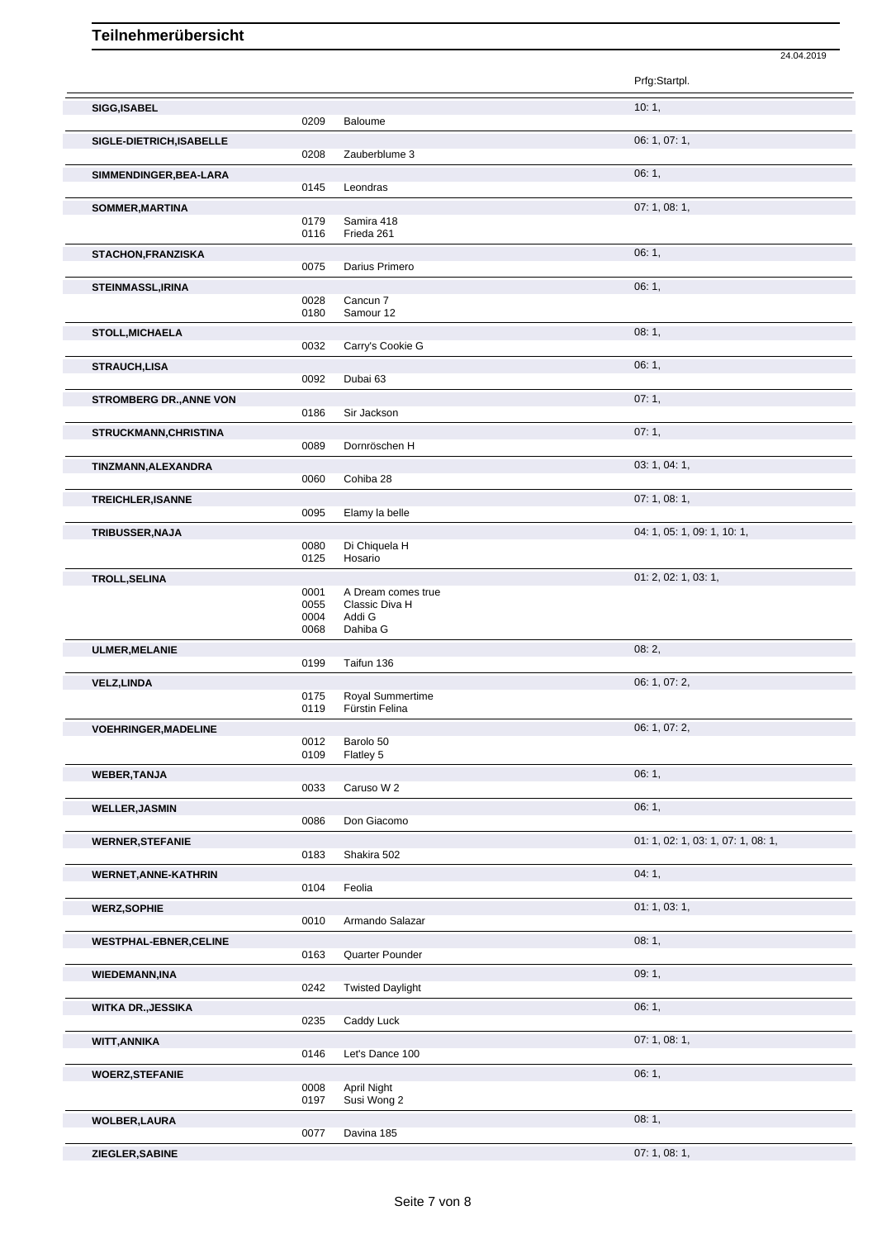|                                |              |                                      | Prfg:Startpl.                      |
|--------------------------------|--------------|--------------------------------------|------------------------------------|
| SIGG, ISABEL                   |              |                                      | 10:1,                              |
|                                | 0209         | Baloume                              |                                    |
| SIGLE-DIETRICH, ISABELLE       | 0208         | Zauberblume 3                        | 06: 1, 07: 1,                      |
| SIMMENDINGER, BEA-LARA         |              |                                      | 06:1,                              |
|                                | 0145         | Leondras                             |                                    |
| SOMMER, MARTINA                | 0179         | Samira 418                           | 07:1,08:1,                         |
|                                | 0116         | Frieda 261                           |                                    |
| <b>STACHON, FRANZISKA</b>      | 0075         | Darius Primero                       | 06:1,                              |
| STEINMASSL, IRINA              |              |                                      | 06:1,                              |
|                                | 0028<br>0180 | Cancun <sub>7</sub><br>Samour 12     |                                    |
| <b>STOLL, MICHAELA</b>         |              |                                      | 08:1,                              |
|                                | 0032         | Carry's Cookie G                     |                                    |
| <b>STRAUCH,LISA</b>            | 0092         | Dubai 63                             | 06:1,                              |
| <b>STROMBERG DR., ANNE VON</b> |              |                                      | 07:1,                              |
|                                | 0186         | Sir Jackson                          |                                    |
| STRUCKMANN, CHRISTINA          | 0089         | Dornröschen H                        | 07:1,                              |
| TINZMANN, ALEXANDRA            |              |                                      | 03: 1, 04: 1,                      |
|                                | 0060         | Cohiba 28                            |                                    |
| TREICHLER, ISANNE              | 0095         | Elamy la belle                       | 07:1,08:1,                         |
| TRIBUSSER, NAJA                |              |                                      | 04: 1, 05: 1, 09: 1, 10: 1,        |
|                                | 0080<br>0125 | Di Chiquela H<br>Hosario             |                                    |
| <b>TROLL, SELINA</b>           |              |                                      | 01: 2, 02: 1, 03: 1,               |
|                                | 0001<br>0055 | A Dream comes true<br>Classic Diva H |                                    |
|                                | 0004<br>0068 | Addi G<br>Dahiba G                   |                                    |
| ULMER, MELANIE                 |              |                                      | 08:2,                              |
|                                | 0199         | Taifun 136                           |                                    |
| <b>VELZ,LINDA</b>              | 0175         | Royal Summertime                     | 06: 1, 07: 2,                      |
|                                | 0119         | Fürstin Felina                       |                                    |
| <b>VOEHRINGER, MADELINE</b>    | 0012         | Barolo 50                            | 06: 1, 07: 2,                      |
|                                | 0109         | Flatley 5                            |                                    |
| <b>WEBER, TANJA</b>            | 0033         | Caruso W 2                           | 06:1,                              |
| <b>WELLER, JASMIN</b>          |              |                                      | 06:1,                              |
|                                | 0086         | Don Giacomo                          |                                    |
| <b>WERNER, STEFANIE</b>        | 0183         | Shakira 502                          | 01: 1, 02: 1, 03: 1, 07: 1, 08: 1, |
| <b>WERNET, ANNE-KATHRIN</b>    |              |                                      | 04:1,                              |
| <b>WERZ, SOPHIE</b>            | 0104         | Feolia                               | 01: 1, 03: 1,                      |
|                                | 0010         | Armando Salazar                      |                                    |
| <b>WESTPHAL-EBNER, CELINE</b>  | 0163         | Quarter Pounder                      | 08:1,                              |
| <b>WIEDEMANN,INA</b>           |              |                                      | 09:1,                              |
|                                | 0242         | <b>Twisted Daylight</b>              |                                    |
| <b>WITKA DR., JESSIKA</b>      | 0235         | Caddy Luck                           | 06:1,                              |
| <b>WITT, ANNIKA</b>            |              |                                      | 07:1,08:1,                         |
|                                | 0146         | Let's Dance 100                      |                                    |
| <b>WOERZ, STEFANIE</b>         | 0008         | April Night                          | 06:1,                              |
|                                | 0197         | Susi Wong 2                          |                                    |
| <b>WOLBER,LAURA</b>            | 0077         | Davina 185                           | 08:1,                              |
| ZIEGLER, SABINE                |              |                                      | 07:1,08:1,                         |

24.04.2019